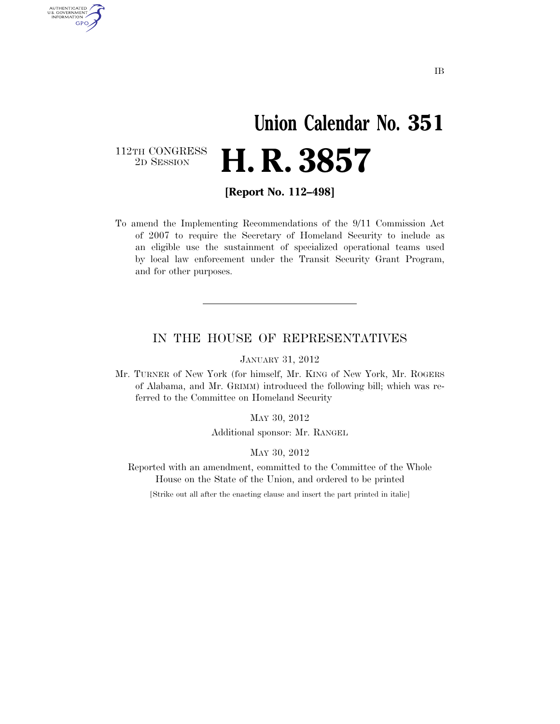### **Union Calendar No. 351**  2D SESSION **H. R. 3857**

112TH CONGRESS<br>2D SESSION

AUTHENTICATED<br>U.S. GOVERNMENT<br>INFORMATION GPO

**[Report No. 112–498]** 

To amend the Implementing Recommendations of the 9/11 Commission Act of 2007 to require the Secretary of Homeland Security to include as an eligible use the sustainment of specialized operational teams used by local law enforcement under the Transit Security Grant Program, and for other purposes.

#### IN THE HOUSE OF REPRESENTATIVES

JANUARY 31, 2012

Mr. TURNER of New York (for himself, Mr. KING of New York, Mr. ROGERS of Alabama, and Mr. GRIMM) introduced the following bill; which was referred to the Committee on Homeland Security

MAY 30, 2012

Additional sponsor: Mr. RANGEL

MAY 30, 2012

Reported with an amendment, committed to the Committee of the Whole House on the State of the Union, and ordered to be printed

[Strike out all after the enacting clause and insert the part printed in italic]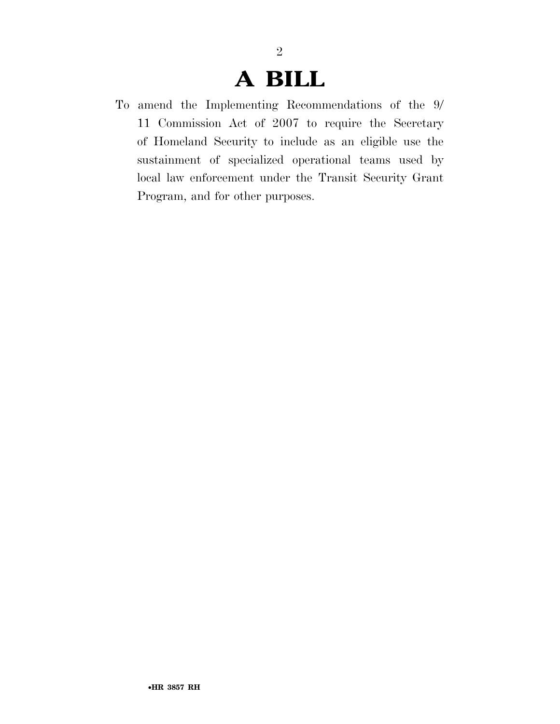### **A BILL**

2

To amend the Implementing Recommendations of the 9/ 11 Commission Act of 2007 to require the Secretary of Homeland Security to include as an eligible use the sustainment of specialized operational teams used by local law enforcement under the Transit Security Grant Program, and for other purposes.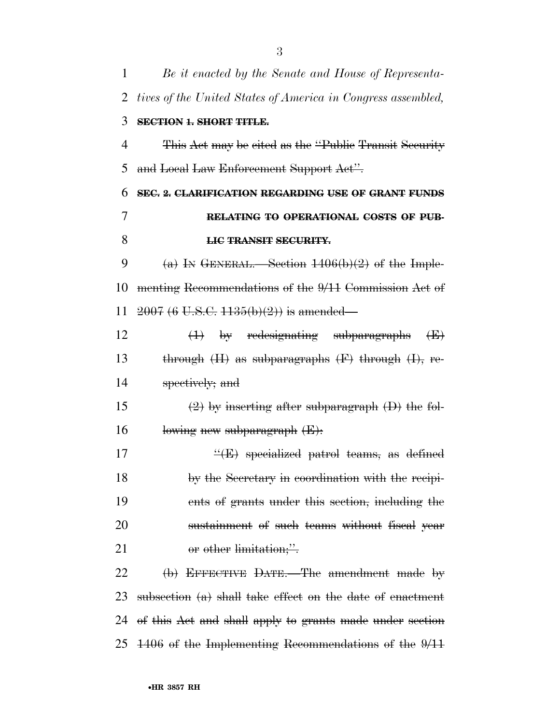| 1  | Be it enacted by the Senate and House of Representa-           |
|----|----------------------------------------------------------------|
| 2  | tives of the United States of America in Congress assembled,   |
| 3  | <b>SECTION 1. SHORT TITLE.</b>                                 |
| 4  | This Act may be cited as the "Public Transit Security"         |
| 5  | and Local Law Enforcement Support Act".                        |
| 6  | SEC. 2. CLARIFICATION REGARDING USE OF GRANT FUNDS             |
| 7  | RELATING TO OPERATIONAL COSTS OF PUB-                          |
| 8  | <b>LIC TRANSIT SECURITY.</b>                                   |
| 9  | (a) IN GENERAL. Section $1406(b)(2)$ of the Imple-             |
| 10 | menting Recommendations of the 9/11 Commission Act of          |
| 11 | $2007(6 \text{ U.S.C. } 1135(b)(2))$ is amended—               |
| 12 | (1) by redesignating subparagraphs<br>$\oplus$                 |
| 13 | through $(H)$ as subparagraphs $(F)$ through $(H)$ , re-       |
| 14 | spectively; and                                                |
| 15 | $(2)$ by inserting after subparagraph $(D)$ the fol-           |
| 16 | lowing new subparagraph (E):                                   |
| 17 | $\frac{H}{E}$ specialized patrol teams, as defined             |
| 18 | by the Secretary in coordination with the recipi-              |
| 19 | ents of grants under this section, including the               |
| 20 | sustainment of such teams without fiscal year                  |
| 21 | or other limitation;".                                         |
| 22 | (b) EFFECTIVE DATE.—The amendment made by                      |
| 23 | subsection $(a)$ shall take effect on the date of enactment    |
| 24 | of this Act and shall apply to grants made under section       |
|    | 25 $\pm 406$ of the Implementing Recommendations of the $9/11$ |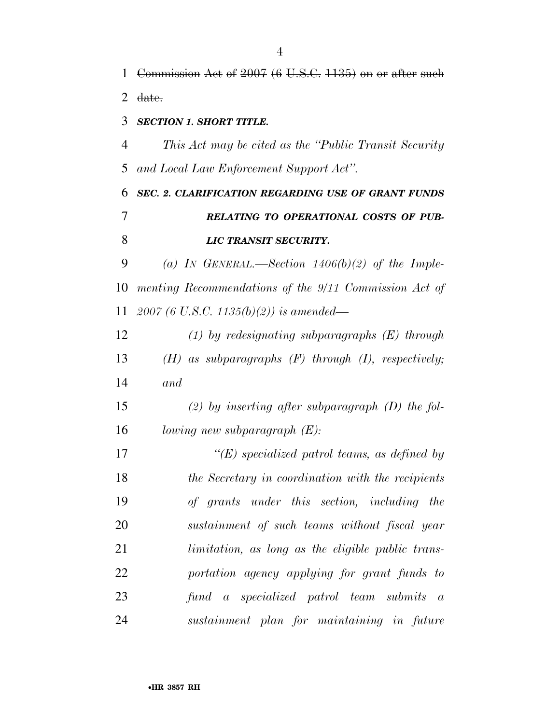*This Act may be cited as the ''Public Transit Security and Local Law Enforcement Support Act''.* 

 *SEC. 2. CLARIFICATION REGARDING USE OF GRANT FUNDS RELATING TO OPERATIONAL COSTS OF PUB-LIC TRANSIT SECURITY.* 

 *(a) IN GENERAL.—Section 1406(b)(2) of the Imple- menting Recommendations of the 9/11 Commission Act of 2007 (6 U.S.C. 1135(b)(2)) is amended—* 

 *(1) by redesignating subparagraphs (E) through (H) as subparagraphs (F) through (I), respectively; and* 

 *(2) by inserting after subparagraph (D) the fol-lowing new subparagraph (E):* 

 *''(E) specialized patrol teams, as defined by the Secretary in coordination with the recipients of grants under this section, including the sustainment of such teams without fiscal year limitation, as long as the eligible public trans- portation agency applying for grant funds to fund a specialized patrol team submits a sustainment plan for maintaining in future*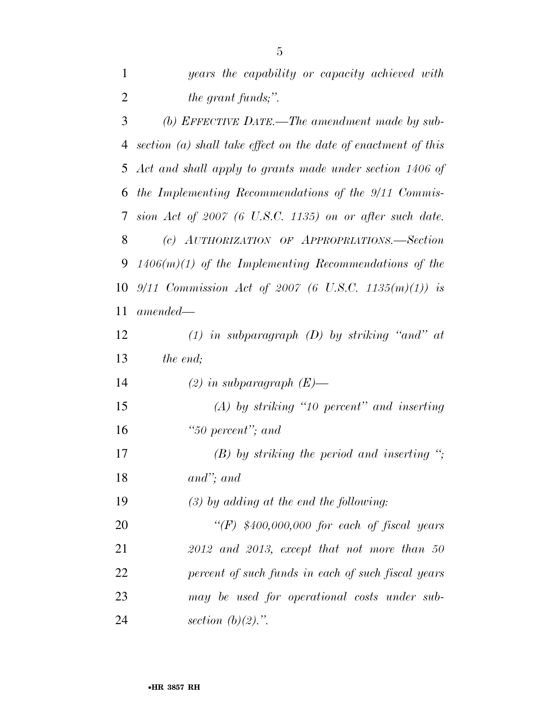| $\mathbf{1}$ | years the capability or capacity achieved with                   |
|--------------|------------------------------------------------------------------|
| 2            | <i>the grant funds;".</i>                                        |
| 3            | (b) EFFECTIVE DATE.—The amendment made by sub-                   |
| 4            | section $(a)$ shall take effect on the date of enactment of this |
| 5            | Act and shall apply to grants made under section 1406 of         |
| 6            | the Implementing Recommendations of the 9/11 Commis-             |
| 7            | sion Act of $2007$ (6 U.S.C. 1135) on or after such date.        |
| 8            | (c) AUTHORIZATION OF APPROPRIATIONS.-Section                     |
| 9            | $1406(m)(1)$ of the Implementing Recommendations of the          |
| 10           | 9/11 Commission Act of 2007 (6 U.S.C. 1135 $(m)(1)$ ) is         |
| 11           | $amended-$                                                       |
| 12           | $(1)$ in subparagraph $(D)$ by striking "and" at                 |
| 13           | the end;                                                         |
| 14           | $(2)$ in subparagraph $(E)$ —                                    |
| 15           | $(A)$ by striking "10 percent" and inserting                     |
| 16           | "50 percent"; and                                                |
| 17           | $(B)$ by striking the period and inserting ";                    |
| 18           | $and$ "; and                                                     |
| 19           | $(3)$ by adding at the end the following:                        |
| 20           | " $(F)$ \$400,000,000 for each of fiscal years                   |
| 21           | $2012$ and $2013$ , except that not more than 50                 |
| 22           | percent of such funds in each of such fiscal years               |
| 23           | may be used for operational costs under sub-                     |
| 24           | section $(b)(2)$ .".                                             |